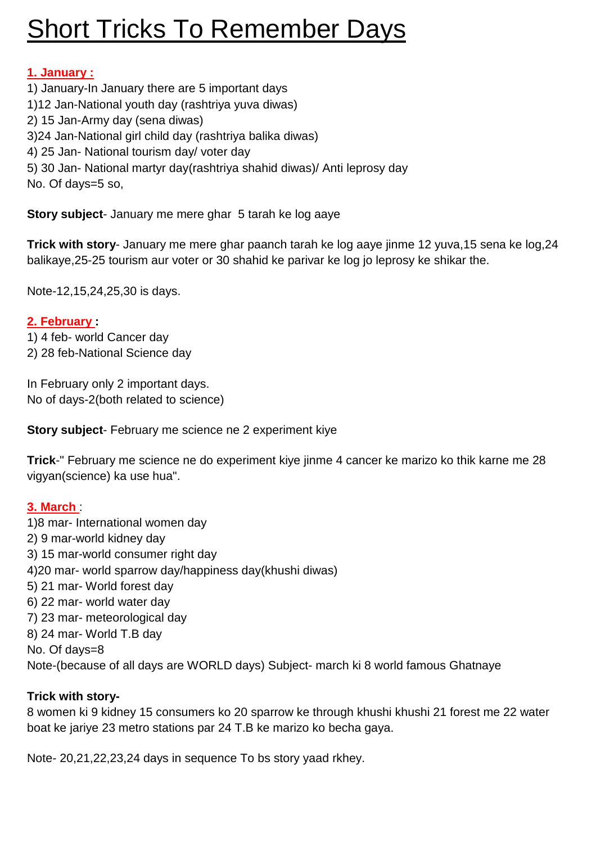# **Short Tricks To Remember Days**

## **1. January :**

- 1) January-In January there are 5 important days
- 1)12 Jan-National youth day (rashtriya yuva diwas)
- 2) 15 Jan-Army day (sena diwas)
- 3)24 Jan-National girl child day (rashtriya balika diwas)
- 4) 25 Jan- National tourism day/ voter day
- 5) 30 Jan- National martyr day(rashtriya shahid diwas)/ Anti leprosy day

No. Of days=5 so,

**Story subject**- January me mere ghar 5 tarah ke log aaye

**Trick with story**- January me mere ghar paanch tarah ke log aaye jinme 12 yuva,15 sena ke log,24 balikaye,25-25 tourism aur voter or 30 shahid ke parivar ke log jo leprosy ke shikar the.

Note-12,15,24,25,30 is days.

## **2. February :**

- 1) 4 feb- world Cancer day
- 2) 28 feb-National Science day

In February only 2 important days. No of days-2(both related to science)

**Story subject**- February me science ne 2 experiment kiye

**Trick**-" February me science ne do experiment kiye jinme 4 cancer ke marizo ko thik karne me 28 vigyan(science) ka use hua".

## **3. March** :

1)8 mar- International women day 2) 9 mar-world kidney day 3) 15 mar-world consumer right day 4)20 mar- world sparrow day/happiness day(khushi diwas) 5) 21 mar- World forest day 6) 22 mar- world water day 7) 23 mar- meteorological day 8) 24 mar- World T.B day No. Of days=8 Note-(because of all days are WORLD days) Subject- march ki 8 world famous Ghatnaye

## **Trick with story-**

8 women ki 9 kidney 15 consumers ko 20 sparrow ke through khushi khushi 21 forest me 22 water boat ke jariye 23 metro stations par 24 T.B ke marizo ko becha gaya.

Note- 20,21,22,23,24 days in sequence To bs story yaad rkhey.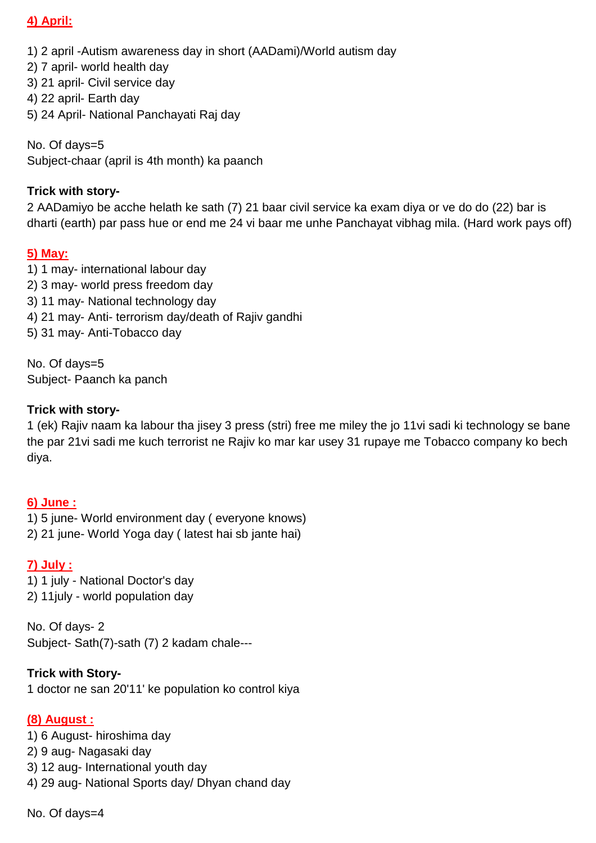### **4) April:**

1) 2 april -Autism awareness day in short (AADami)/World autism day

2) 7 april- world health day

3) 21 april- Civil service day

4) 22 april- Earth day

5) 24 April- National Panchayati Raj day

No. Of days=5 Subject-chaar (april is 4th month) ka paanch

#### **Trick with story-**

2 AADamiyo be acche helath ke sath (7) 21 baar civil service ka exam diya or ve do do (22) bar is dharti (earth) par pass hue or end me 24 vi baar me unhe Panchayat vibhag mila. (Hard work pays off)

#### **5) May:**

1) 1 may- international labour day 2) 3 may- world press freedom day 3) 11 may- National technology day 4) 21 may- Anti- terrorism day/death of Rajiv gandhi 5) 31 may- Anti-Tobacco day

No. Of days=5 Subject- Paanch ka panch

#### **Trick with story-**

1 (ek) Rajiv naam ka labour tha jisey 3 press (stri) free me miley the jo 11vi sadi ki technology se bane the par 21vi sadi me kuch terrorist ne Rajiv ko mar kar usey 31 rupaye me Tobacco company ko bech diya.

#### **6) June :**

1) 5 june- World environment day ( everyone knows) 2) 21 june- World Yoga day ( latest hai sb jante hai)

#### **7) July :**

1) 1 july - National Doctor's day 2) 11july - world population day

No. Of days- 2 Subject- Sath(7)-sath (7) 2 kadam chale---

#### **Trick with Story-**

1 doctor ne san 20'11' ke population ko control kiya

#### **(8) August :**

- 1) 6 August- hiroshima day
- 2) 9 aug- Nagasaki day
- 3) 12 aug- International youth day
- 4) 29 aug- National Sports day/ Dhyan chand day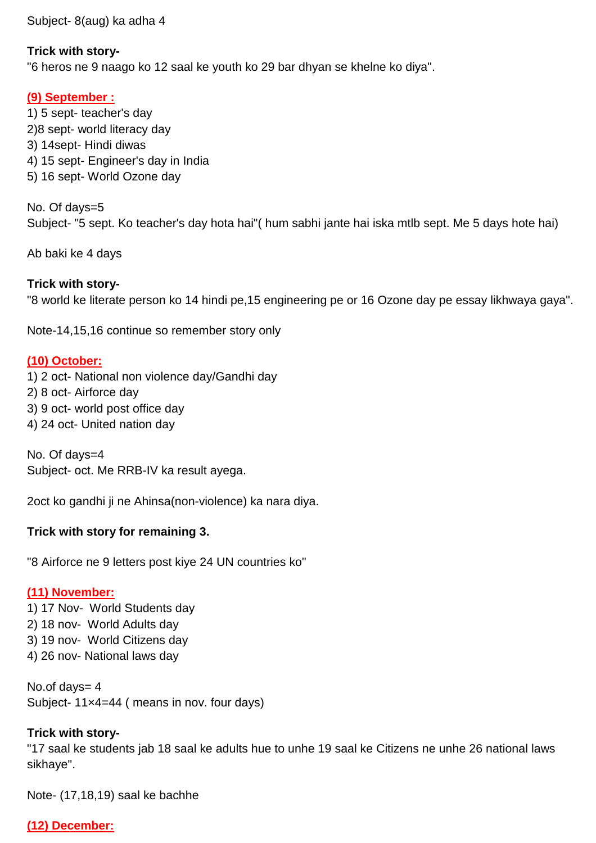Subject- 8(aug) ka adha 4

#### **Trick with story-**

"6 heros ne 9 naago ko 12 saal ke youth ko 29 bar dhyan se khelne ko diya".

#### **(9) September :**

1) 5 sept- teacher's day 2)8 sept- world literacy day 3) 14sept- Hindi diwas 4) 15 sept- Engineer's day in India 5) 16 sept- World Ozone day

No. Of days=5 Subject- "5 sept. Ko teacher's day hota hai"( hum sabhi jante hai iska mtlb sept. Me 5 days hote hai)

Ab baki ke 4 days

#### **Trick with story-**

"8 world ke literate person ko 14 hindi pe,15 engineering pe or 16 Ozone day pe essay likhwaya gaya".

Note-14,15,16 continue so remember story only

#### **(10) October:**

- 1) 2 oct- National non violence day/Gandhi day
- 2) 8 oct- Airforce day
- 3) 9 oct- world post office day
- 4) 24 oct- United nation day

No. Of days=4 Subject- oct. Me RRB-IV ka result ayega.

2oct ko gandhi ji ne Ahinsa(non-violence) ka nara diya.

#### **Trick with story for remaining 3.**

"8 Airforce ne 9 letters post kiye 24 UN countries ko"

#### **(11) November:**

- 1) 17 Nov- World Students day
- 2) 18 nov- World Adults day
- 3) 19 nov- World Citizens day
- 4) 26 nov- National laws day

No.of days= 4 Subject- 11×4=44 ( means in nov. four days)

## **Trick with story-**

"17 saal ke students jab 18 saal ke adults hue to unhe 19 saal ke Citizens ne unhe 26 national laws sikhaye".

Note- (17,18,19) saal ke bachhe

## **(12) December:**